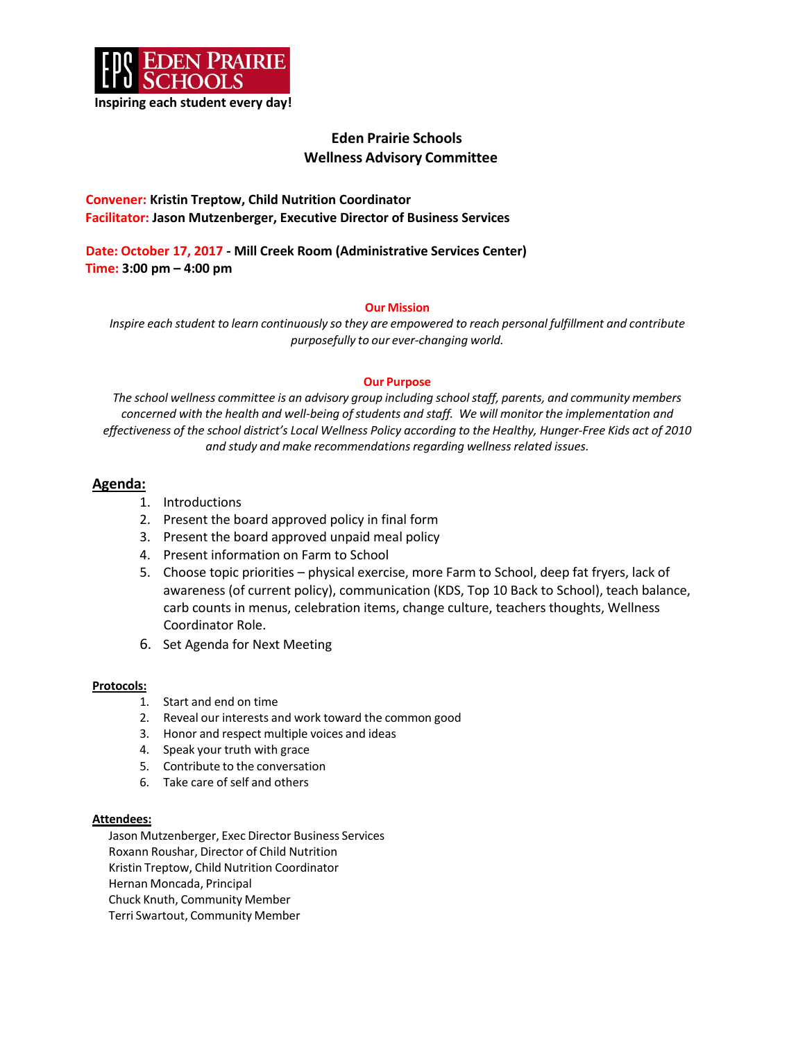

# **Eden Prairie Schools Wellness Advisory Committee**

### **Convener: Kristin Treptow, Child Nutrition Coordinator Facilitator: Jason Mutzenberger, Executive Director of Business Services**

**Date: October 17, 2017 - Mill Creek Room (Administrative Services Center) Time: 3:00 pm – 4:00 pm**

### **Our Mission**

*Inspire each student to learn continuously so they are empowered to reach personal fulfillment and contribute purposefully to our ever-changing world.*

#### **Our Purpose**

*The school wellness committee is an advisory group including schoolstaff, parents, and community members concerned with the health and well-being ofstudents and staff. We will monitor the implementation and effectiveness of the school district's Local Wellness Policy according to the Healthy, Hunger-Free Kids act of 2010 and study and make recommendationsregarding wellnessrelated issues.*

## **Agenda:**

- 1. Introductions
- 2. Present the board approved policy in final form
- 3. Present the board approved unpaid meal policy
- 4. Present information on Farm to School
- 5. Choose topic priorities physical exercise, more Farm to School, deep fat fryers, lack of awareness (of current policy), communication (KDS, Top 10 Back to School), teach balance, carb counts in menus, celebration items, change culture, teachers thoughts, Wellness Coordinator Role.
- 6. Set Agenda for Next Meeting

### **Protocols:**

- 1. Start and end on time
- 2. Reveal our interests and work toward the common good
- 3. Honor and respect multiple voices and ideas
- 4. Speak your truth with grace
- 5. Contribute to the conversation
- 6. Take care of self and others

#### **Attendees:**

Jason Mutzenberger, Exec Director Business Services Roxann Roushar, Director of Child Nutrition Kristin Treptow, Child Nutrition Coordinator Hernan Moncada, Principal Chuck Knuth, Community Member Terri Swartout, Community Member